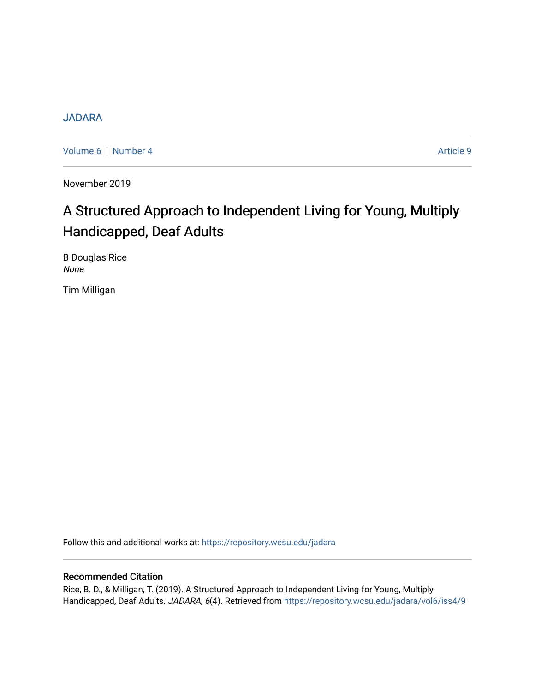#### **[JADARA](https://repository.wcsu.edu/jadara)**

[Volume 6](https://repository.wcsu.edu/jadara/vol6) | [Number 4](https://repository.wcsu.edu/jadara/vol6/iss4) Article 9

November 2019

## A Structured Approach to Independent Living for Young, Multiply Handicapped, Deaf Adults

B Douglas Rice None

Tim Milligan

Follow this and additional works at: [https://repository.wcsu.edu/jadara](https://repository.wcsu.edu/jadara?utm_source=repository.wcsu.edu%2Fjadara%2Fvol6%2Fiss4%2F9&utm_medium=PDF&utm_campaign=PDFCoverPages)

#### Recommended Citation

Rice, B. D., & Milligan, T. (2019). A Structured Approach to Independent Living for Young, Multiply Handicapped, Deaf Adults. JADARA, 6(4). Retrieved from [https://repository.wcsu.edu/jadara/vol6/iss4/9](https://repository.wcsu.edu/jadara/vol6/iss4/9?utm_source=repository.wcsu.edu%2Fjadara%2Fvol6%2Fiss4%2F9&utm_medium=PDF&utm_campaign=PDFCoverPages)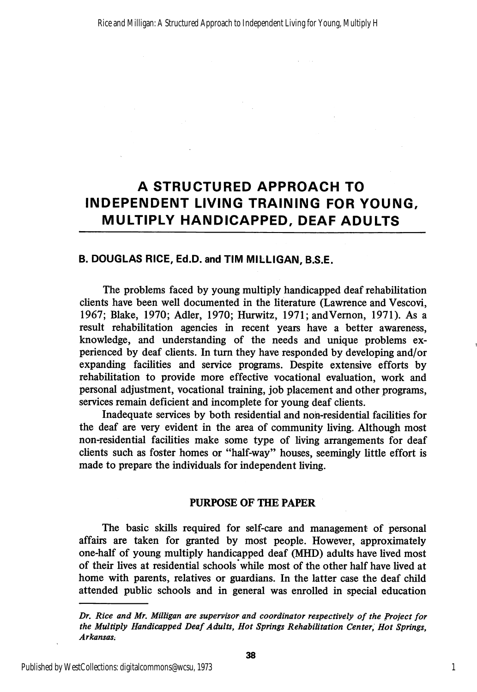### A STRUCTURED APPROACH TO INDEPENDENT LIVING TRAINING FOR YOUNG, MULTIPLY HANDICAPPED, DEAF ADULTS

#### B. DOUGLAS RICE, Ed.D. and TIM MILLIGAN, B.S.E.

The problems faced by young multiply handicapped deaf rehabilitation clients have been well documented in the literature (Lawrence and Vescovi, 1967; Blake, 1970; Adler, 1970; Hurwitz, 1971; andVemon, 1971). As a result rehabilitation agencies in recent years have a better awareness, knowledge, and understanding of the needs and unique problems ex perienced by deaf clients. In turn they have responded by developing and/or expanding facilities and service programs. Despite extensive efforts by rehabilitation to provide more effective vocational evaluation, work and personal adjustment, vocational training, job placement and other programs, services remain deficient and incomplete for young deaf clients.

Inadequate services by both residential and non-residential facilities for the deaf are very evident in the area of community living. Although most non-residential facilities make some type of living arrangements for deaf clients such as foster homes or "half-way" houses, seemingly little effort is made to prepare the individuals for independent living.

#### PURPOSE OF THE PAPER

The basic skills required for self-care and management of personal affairs are taken for granted by most people. However, approximately one-half of young multiply handicapped deaf (MHD) adults have lived most of their lives at residential schools while most of the other half have lived at home with parents, relatives or guardians. In the latter case the deaf child attended public schools and in general was enrolled in special education

1

Dr. Rice and Mr. Milligan are supervisor and coordinator respectively of the Project for the Multiply Handicapped Deaf Adults, Hot Springs Rehabilitation Center, Hot Springs, Arkansas.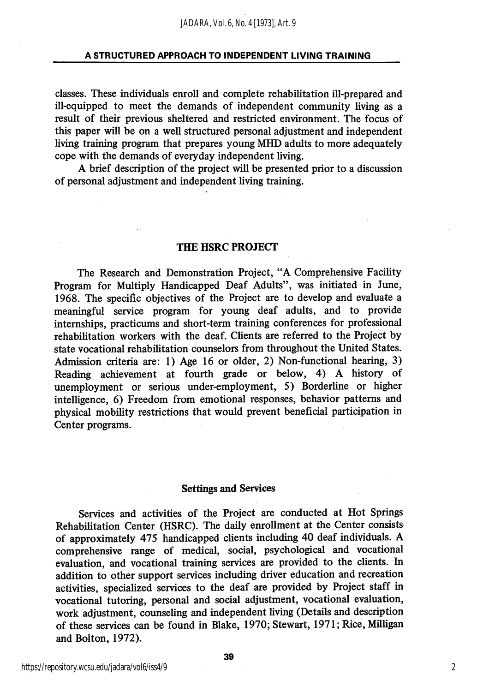classes. These individuals enroll and complete rehabilitation ill-prepared and ill-equipped to meet the demands of independent community living as a result of their previous sheltered and restricted environment. The focus of this paper will be on a well structured personal adjustment and independent living training program that prepares young MHD adults to more adequately cope with the demands of everyday independent living.

A brief description of the project will be presented prior to a discussion of personal adjustment and independent living training.

#### THE HSRC PROJECT

The Research and Demonstration Project, "A Comprehensive Facihty Program for Multiply Handicapped Deaf Adults", was initiated in June, 1968. The specific objectives of the Project are to develop and evaluate a meaningful service program for young deaf adults, and to provide internships, practicums and short-term training conferences for professional rehabilitation workers with the deaf. Clients are referred to the Project by state vocational rehabilitation counselors from throughout the United States. Admission criteria are: 1) Age 16 or older, 2) Non-functional hearing, 3) Reading achievement at fourth grade or below, 4) A history of unemployment or serious under-employment, 5) Borderline or higher intelligence, 6) Freedom from emotional responses, behavior patterns and physical mobility restrictions that would prevent beneficial participation in Center programs.

#### Settings and Services

Services and activities of the Project are conducted at Hot Springs Rehabilitation Center (HSRC). The daily enrollment at the Center consists of approximately 475 handicapped clients including 40 deaf individuals. A comprehensive range of medical, social, psychological and vocational evaluation, and vocational training services are provided to the clients. In addition to other support services including driver education and recreation activities, specialized services to the deaf are provided by Project staff in vocational tutoring, personal and social adjustment, vocational evaluation, work adjustment, counseling and independent living (Details and description of these services can be found in Blake, 1970; Stewart, 1971; Rice, Milligan and Bolton, 1972).

2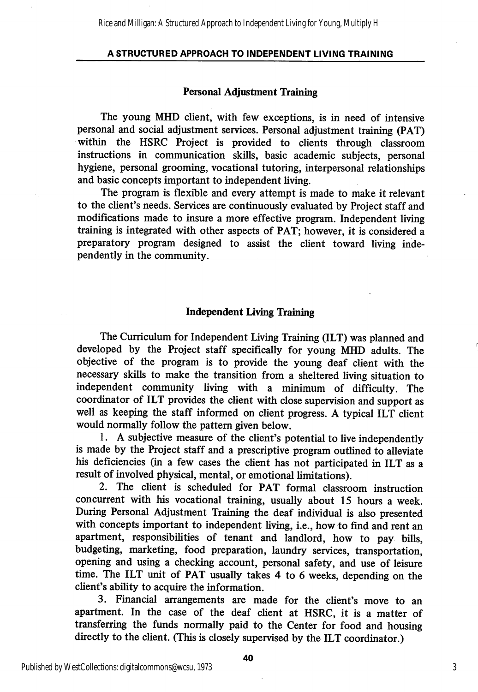Rice and Milligan: A Structured Approach to Independent Living for Young, Multiply H

#### A STRUCTURED APPROACH TO INDEPENDENT LIVING TRAINING

#### Personal Adjustment Training

The young MHD client, with few exceptions, is in need of intensive personal and social adjustment services. Personal adjustment training (PAT) within the HSRC Project is provided to clients through classroom instructions in communication skills, basic academic subjects, personal hygiene, personal grooming, vocational tutoring, interpersonal relationships and basic concepts important to independent living.

The program is flexible and every attempt is made to make it relevant to the client's needs. Services are continuously evaluated by Project staff and modifications made to insure a more effective program. Independent living training is integrated with other aspects of PAT; however, it is considered a preparatory program designed to assist the client toward living independently in the community.

#### Independent Living Training

The Curriculum for Independent Living Training (ILT) was planned and developed by the Project staff specifically for young MHD adults. The objective of the program is to provide the young deaf client with the necessary skills to make the transition from a sheltered hving situation to independent community hving with a minimum of difficulty. The coordinator of ILT provides the client with close supervision and support as well as keeping the staff informed on client progress. A typical ILT client would normally follow the pattern given below.

1. A subjective measure of the client's potential to live independently is made by the Project staff and a prescriptive program outhned to alleviate his deficiencies (in a few cases the client has not participated in ILT as a result of involved physical, mental, or emotional limitations).

2. The client is scheduled for PAT formal classroom instruction concurrent with his vocational training, usually about 15 hours a week. During Personal Adjustment Training the deaf individual is also presented with concepts important to independent living, i.e., how to find and rent an apartment, responsibihties of tenant and landlord, how to pay bills, budgeting, marketing, food preparation, laundry services, transportation, opening and using a checking account, personal safety, and use of leisure time. The ILT unit of PAT usually takes 4 to 6 weeks, depending on the client's ability to acquire the information.

3. Financial arrangements are made for the client's move to an apartment. In the case of the deaf client at HSRC, it is a matter of transferring the funds normally paid to the Center for food and housing directly to the client. (This is closely supervised by the ILT coordinator.)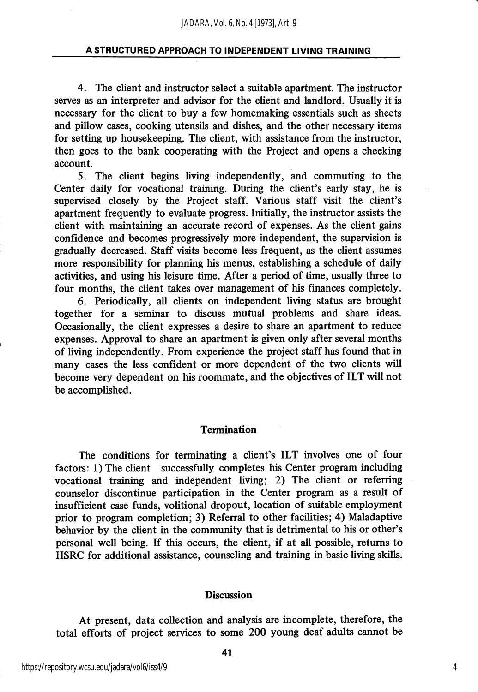4. The client and instructor select a suitable apartment. The instructor serves as an interpreter and advisor for the client and landlord. Usually it is necessary for the client to buy a few homemaking essentials such as sheets and pillow cases, cooking utensils and dishes, and the other necessary items for setting up housekeeping. The client, with assistance from the instructor, then goes to the bank cooperating with the Project and opens a cheeking account.

5. The client begins living independently, and commuting to the Center daily for vocational training. During the client's early stay, he is supervised closely by the Project staff. Various staff visit the client's apartment frequently to evaluate progress. Initially, the instructor assists the client with maintaining an accurate record of expenses. As the client gains confidence and becomes progressively more independent, the supervision is gradually decreased. Staff visits become less frequent, as the client assumes more responsibility for planning his menus, establishing a schedule of daily activities, and using his leisure time. After a period of time, usually three to four months, the client takes over management of his finances completely.

6. Periodically, all clients on independent living status are brought together for a seminar to discuss mutual problems and share ideas. Occasionally, the client expresses a desire to share an apartment to reduce expenses. Approval to share an apartment is given only after several months of living independently. From experience the project staff has found that in many cases the less confident or more dependent of the two clients will become very dependent on his roommate, and the objectives of ILT will not be accomplished.

#### Termination

The conditions for terminating a client's ILT involves one of four factors: 1) The client successfully completes his Center program including vocational training and independent living; 2) The client or referring counselor discontinue participation in the Center program as a result of insufficient case funds, volitional dropout, location of suitable employment prior to program completion; 3) Referral to other facilities; 4) Maladaptive behavior by the client in the community that is detrimental to his or other's personal well being. If this occurs, the client, if at all possible, returns to HSRC for additional assistance, counseling and training in basic living skills.

#### **Discussion**

At present, data collection and analysis are incomplete, therefore, the total efforts of project services to some 200 young deaf adults cannot be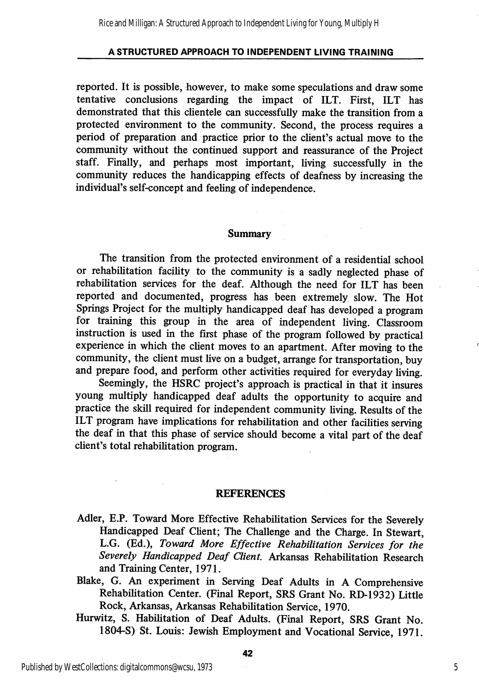reported. It is possible, however, to make some speculations and draw some tentative conclusions regarding the impact of ILT. First, ILT has demonstrated that this clientele can successfully make the transition from a protected environment to the community. Second, the process requires a period of preparation and practice prior to the client's actual move to the commimity without the continued support and reassurance of the Project staff. Finally, and perhaps most important, living successfully in the community reduces the handicapping effects of deafness by increasing the individual's self-concept and feeling of independence.

#### Summary

The transition from the protected environment of a residential school or rehabilitation facility to the community is a sadly neglected phase of rehabilitation services for the deaf. Although the need for ILT has been reported and documented, progress has been extremely slow. The Hot Springs Project for the multiply handicapped deaf has developed a program for training this group in the area of independent living. Classroom instruction is used in the first phase of the program followed by practical experience in which the client moves to an apartment. After moving to the community, the client must live on a budget, arrange for transportation, buy and prepare food, and perform other activities required for everyday living.

Seemingly, the HSRC project's approach is practical in that it insures young multiply handicapped deaf adults the opportunity to acquire and practice the skill required for independent community living. Results of the ILT program have implications for rehabilitation and other facilities serving the deaf in that this phase of service should become a vital part of the deaf client's total rehabilitation program.

#### REFERENCES

- Adler, E.P. Toward More Effective Rehabilitation Services for the Severely Handicapped Deaf Client; The Challenge and the Charge. In Stewart, L.G. (Ed.), Toward More Effective Rehabilitation Services for the Severely Handicapped Deaf Client. Arkansas Rehabilitation Research and Training Center, 1971.
- Blake, G. An experiment in Serving Deaf Adults in A Comprehensive Rehabilitation Center. (Final Report, SRS Grant No. RD-1932) Little Rock, Arkansas, Arkansas Rehabilitation Service, 1970.
- Hurwitz, S. Habilitation of Deaf Adults. (Final Report, SRS Grant No. 1804-S) St. Louis: Jewish Employment and Vocational Service, 1971.